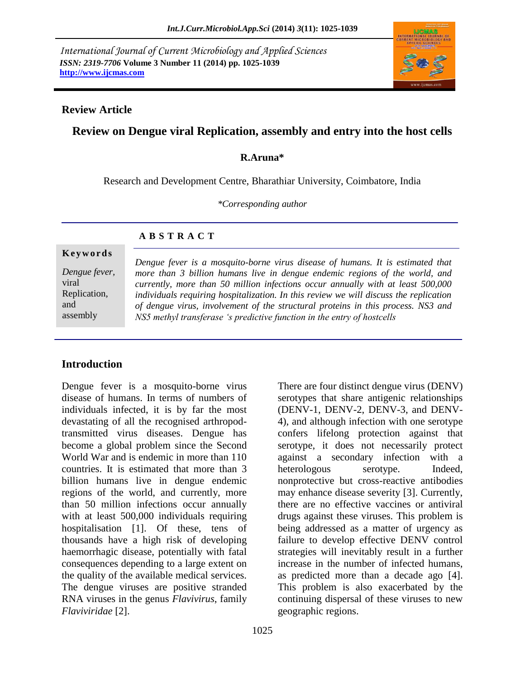*International Journal of Current Microbiology and Applied Sciences ISSN: 2319-7706* **Volume 3 Number 11 (2014) pp. 1025-1039 http://www.ijcmas.com**



#### **Review Article**

# **Review on Dengue viral Replication, assembly and entry into the host cells**

#### **R.Aruna\***

Research and Development Centre, Bharathiar University, Coimbatore, India

*\*Corresponding author*

#### **A B S T R A C T**

#### **K e y w o r d s**

*Dengue fever,* viral Replication, and assembly

*Dengue fever is a mosquito-borne virus disease of humans. It is estimated that more than 3 billion humans live in dengue endemic regions of the world, and currently, more than 50 million infections occur annually with at least 500,000 individuals requiring hospitalization. In this review we will discuss the replication of dengue virus, involvement of the structural proteins in this process. NS3 and NS5 methyl transferase 's predictive function in the entry of hostcells*

## **Introduction**

Dengue fever is a mosquito-borne virus disease of humans. In terms of numbers of individuals infected, it is by far the most devastating of all the recognised arthropodtransmitted virus diseases. Dengue has become a global problem since the Second World War and is endemic in more than 110 countries. It is estimated that more than 3 billion humans live in dengue endemic regions of the world, and currently, more than 50 million infections occur annually with at least 500,000 individuals requiring hospitalisation [1]. Of these, tens of thousands have a high risk of developing haemorrhagic disease, potentially with fatal consequences depending to a large extent on the quality of the available medical services. The dengue viruses are positive stranded RNA viruses in the genus *Flavivirus*, family *Flaviviridae* [2].

There are four distinct dengue virus (DENV) serotypes that share antigenic relationships (DENV-1, DENV-2, DENV-3, and DENV-4), and although infection with one serotype confers lifelong protection against that serotype, it does not necessarily protect against a secondary infection with a heterologous serotype. Indeed, nonprotective but cross-reactive antibodies may enhance disease severity [3]. Currently, there are no effective vaccines or antiviral drugs against these viruses. This problem is being addressed as a matter of urgency as failure to develop effective DENV control strategies will inevitably result in a further increase in the number of infected humans, as predicted more than a decade ago [4]. This problem is also exacerbated by the continuing dispersal of these viruses to new geographic regions.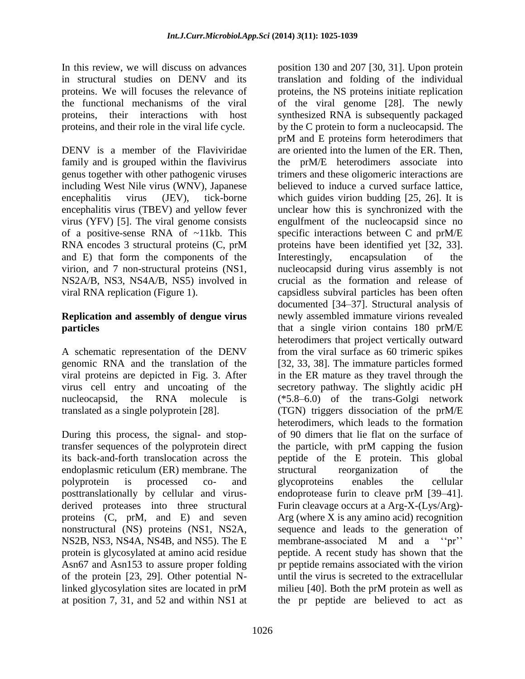In this review, we will discuss on advances in structural studies on DENV and its proteins. We will focuses the relevance of the functional mechanisms of the viral proteins, their interactions with host proteins, and their role in the viral life cycle.

DENV is a member of the Flaviviridae family and is grouped within the flavivirus genus together with other pathogenic viruses including West Nile virus (WNV), Japanese encephalitis virus (JEV), tick-borne encephalitis virus (TBEV) and yellow fever virus (YFV) [5]. The viral genome consists of a positive-sense RNA of ~11kb. This RNA encodes 3 structural proteins (C, prM and E) that form the components of the virion, and 7 non-structural proteins (NS1, NS2A/B, NS3, NS4A/B, NS5) involved in viral RNA replication (Figure 1).

#### **Replication and assembly of dengue virus particles**

A schematic representation of the DENV genomic RNA and the translation of the viral proteins are depicted in Fig. 3. After virus cell entry and uncoating of the nucleocapsid, the RNA molecule is translated as a single polyprotein [28].

During this process, the signal- and stoptransfer sequences of the polyprotein direct its back-and-forth translocation across the endoplasmic reticulum (ER) membrane. The polyprotein is processed co- and posttranslationally by cellular and virusderived proteases into three structural proteins (C, prM, and E) and seven nonstructural (NS) proteins (NS1, NS2A, NS2B, NS3, NS4A, NS4B, and NS5). The E protein is glycosylated at amino acid residue Asn67 and Asn153 to assure proper folding of the protein [23, 29]. Other potential Nlinked glycosylation sites are located in prM at position 7, 31, and 52 and within NS1 at

position 130 and 207 [30, 31]. Upon protein translation and folding of the individual proteins, the NS proteins initiate replication of the viral genome [28]. The newly synthesized RNA is subsequently packaged by the C protein to form a nucleocapsid. The prM and E proteins form heterodimers that are oriented into the lumen of the ER. Then, the prM/E heterodimers associate into trimers and these oligomeric interactions are believed to induce a curved surface lattice, which guides virion budding [25, 26]. It is unclear how this is synchronized with the engulfment of the nucleocapsid since no specific interactions between C and prM/E proteins have been identified yet [32, 33]. Interestingly, encapsulation of the nucleocapsid during virus assembly is not crucial as the formation and release of capsidless subviral particles has been often documented [34–37]. Structural analysis of newly assembled immature virions revealed that a single virion contains 180 prM/E heterodimers that project vertically outward from the viral surface as 60 trimeric spikes [32, 33, 38]. The immature particles formed in the ER mature as they travel through the secretory pathway. The slightly acidic pH (\*5.8–6.0) of the trans-Golgi network (TGN) triggers dissociation of the prM/E heterodimers, which leads to the formation of 90 dimers that lie flat on the surface of the particle, with prM capping the fusion peptide of the E protein. This global structural reorganization of the glycoproteins enables the cellular endoprotease furin to cleave prM [39–41]. Furin cleavage occurs at a Arg-X-(Lys/Arg)- Arg (where X is any amino acid) recognition sequence and leads to the generation of membrane-associated M and a "pr" peptide. A recent study has shown that the pr peptide remains associated with the virion until the virus is secreted to the extracellular milieu [40]. Both the prM protein as well as the pr peptide are believed to act as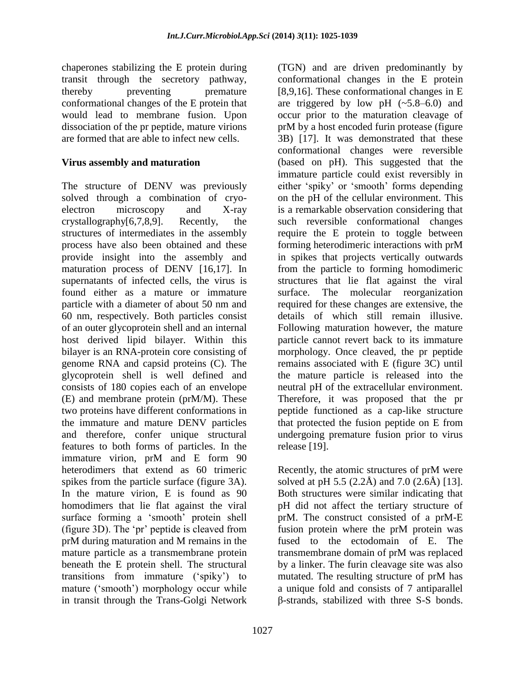chaperones stabilizing the E protein during transit through the secretory pathway, thereby preventing premature conformational changes of the E protein that would lead to membrane fusion. Upon dissociation of the pr peptide, mature virions are formed that are able to infect new cells.

#### **Virus assembly and maturation**

The structure of DENV was previously solved through a combination of cryoelectron microscopy and X-ray crystallography[6,7,8,9]. Recently, the structures of intermediates in the assembly process have also been obtained and these provide insight into the assembly and maturation process of DENV [16,17]. In supernatants of infected cells, the virus is found either as a mature or immature particle with a diameter of about 50 nm and 60 nm, respectively. Both particles consist of an outer glycoprotein shell and an internal host derived lipid bilayer. Within this bilayer is an RNA-protein core consisting of genome RNA and capsid proteins (C). The glycoprotein shell is well defined and consists of 180 copies each of an envelope (E) and membrane protein (prM/M). These two proteins have different conformations in the immature and mature DENV particles and therefore, confer unique structural features to both forms of particles. In the immature virion, prM and E form 90 heterodimers that extend as 60 trimeric spikes from the particle surface (figure 3A). In the mature virion, E is found as 90 homodimers that lie flat against the viral surface forming a 'smooth' protein shell (figure 3D). The "pr" peptide is cleaved from prM during maturation and M remains in the mature particle as a transmembrane protein beneath the E protein shell. The structural transitions from immature ("spiky") to mature ('smooth') morphology occur while in transit through the Trans-Golgi Network

1027

(TGN) and are driven predominantly by conformational changes in the E protein [8,9,16]. These conformational changes in E are triggered by low pH  $(-5.8-6.0)$  and occur prior to the maturation cleavage of prM by a host encoded furin protease (figure 3B) [17]. It was demonstrated that these conformational changes were reversible (based on pH). This suggested that the immature particle could exist reversibly in either "spiky" or "smooth" forms depending on the pH of the cellular environment. This is a remarkable observation considering that such reversible conformational changes require the E protein to toggle between forming heterodimeric interactions with prM in spikes that projects vertically outwards from the particle to forming homodimeric structures that lie flat against the viral surface. The molecular reorganization required for these changes are extensive, the details of which still remain illusive. Following maturation however, the mature particle cannot revert back to its immature morphology. Once cleaved, the pr peptide remains associated with E (figure 3C) until the mature particle is released into the neutral pH of the extracellular environment. Therefore, it was proposed that the pr peptide functioned as a cap-like structure that protected the fusion peptide on E from undergoing premature fusion prior to virus release [19].

Recently, the atomic structures of prM were solved at pH 5.5 (2.2Å) and 7.0 (2.6Å) [13]. Both structures were similar indicating that pH did not affect the tertiary structure of prM. The construct consisted of a prM-E fusion protein where the prM protein was fused to the ectodomain of E. The transmembrane domain of prM was replaced by a linker. The furin cleavage site was also mutated. The resulting structure of prM has a unique fold and consists of 7 antiparallel β-strands, stabilized with three S-S bonds.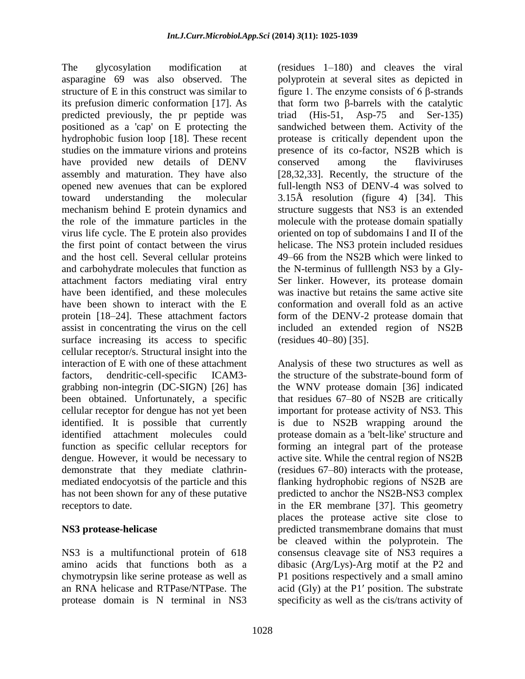The glycosylation modification at asparagine 69 was also observed. The structure of E in this construct was similar to its prefusion dimeric conformation [17]. As predicted previously, the pr peptide was positioned as a 'cap' on E protecting the hydrophobic fusion loop [18]. These recent studies on the immature virions and proteins have provided new details of DENV assembly and maturation. They have also opened new avenues that can be explored toward understanding the molecular mechanism behind E protein dynamics and the role of the immature particles in the virus life cycle. The E protein also provides the first point of contact between the virus and the host cell. Several cellular proteins and carbohydrate molecules that function as attachment factors mediating viral entry have been identified, and these molecules have been shown to interact with the E protein [18–24]. These attachment factors assist in concentrating the virus on the cell surface increasing its access to specific cellular receptor/s. Structural insight into the interaction of E with one of these attachment factors, dendritic-cell-specific ICAM3 grabbing non-integrin (DC-SIGN) [26] has been obtained. Unfortunately, a specific cellular receptor for dengue has not yet been identified. It is possible that currently identified attachment molecules could function as specific cellular receptors for dengue. However, it would be necessary to demonstrate that they mediate clathrinmediated endocyotsis of the particle and this has not been shown for any of these putative receptors to date.

#### **NS3 protease-helicase**

NS3 is a multifunctional protein of 618 amino acids that functions both as a chymotrypsin like serine protease as well as an RNA helicase and RTPase/NTPase. The protease domain is N terminal in NS3 (residues 1–180) and cleaves the viral polyprotein at several sites as depicted in figure 1. The enzyme consists of 6 β-strands that form two β-barrels with the catalytic triad (His-51, Asp-75 and Ser-135) sandwiched between them. Activity of the protease is critically dependent upon the presence of its co-factor, NS2B which is conserved among the flaviviruses [28,32,33]. Recently, the structure of the full-length NS3 of DENV-4 was solved to 3.15Å resolution (figure 4) [34]. This structure suggests that NS3 is an extended molecule with the protease domain spatially oriented on top of subdomains I and II of the helicase. The NS3 protein included residues 49–66 from the NS2B which were linked to the N-terminus of fulllength NS3 by a Gly-Ser linker. However, its protease domain was inactive but retains the same active site conformation and overall fold as an active form of the DENV-2 protease domain that included an extended region of NS2B (residues 40–80) [35].

Analysis of these two structures as well as the structure of the substrate-bound form of the WNV protease domain [36] indicated that residues 67–80 of NS2B are critically important for protease activity of NS3. This is due to NS2B wrapping around the protease domain as a 'belt-like' structure and forming an integral part of the protease active site. While the central region of NS2B (residues 67–80) interacts with the protease, flanking hydrophobic regions of NS2B are predicted to anchor the NS2B-NS3 complex in the ER membrane [37]. This geometry places the protease active site close to predicted transmembrane domains that must be cleaved within the polyprotein. The consensus cleavage site of NS3 requires a dibasic (Arg/Lys)-Arg motif at the P2 and P1 positions respectively and a small amino acid (Gly) at the P1′ position. The substrate specificity as well as the cis/trans activity of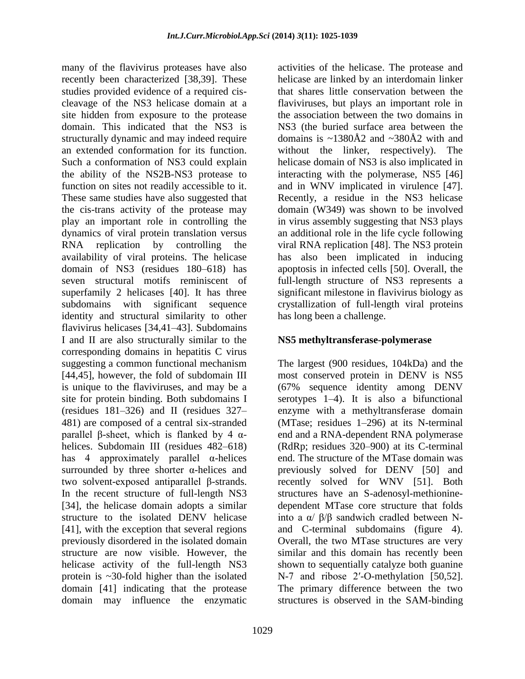many of the flavivirus proteases have also recently been characterized [38,39]. These studies provided evidence of a required ciscleavage of the NS3 helicase domain at a site hidden from exposure to the protease domain. This indicated that the NS3 is structurally dynamic and may indeed require an extended conformation for its function. Such a conformation of NS3 could explain the ability of the NS2B-NS3 protease to function on sites not readily accessible to it. These same studies have also suggested that the cis-trans activity of the protease may play an important role in controlling the dynamics of viral protein translation versus RNA replication by controlling the availability of viral proteins. The helicase domain of NS3 (residues 180–618) has seven structural motifs reminiscent of superfamily 2 helicases [40]. It has three subdomains with significant sequence identity and structural similarity to other flavivirus helicases [34,41–43]. Subdomains I and II are also structurally similar to the corresponding domains in hepatitis C virus suggesting a common functional mechanism [44,45], however, the fold of subdomain III is unique to the flaviviruses, and may be a site for protein binding. Both subdomains I (residues 181–326) and II (residues 327– 481) are composed of a central six-stranded parallel β-sheet, which is flanked by 4 αhelices. Subdomain III (residues 482–618) has 4 approximately parallel  $\alpha$ -helices surrounded by three shorter α-helices and two solvent-exposed antiparallel β-strands. In the recent structure of full-length NS3 [34], the helicase domain adopts a similar structure to the isolated DENV helicase [41], with the exception that several regions previously disordered in the isolated domain structure are now visible. However, the helicase activity of the full-length NS3 protein is ~30-fold higher than the isolated domain [41] indicating that the protease domain may influence the enzymatic

1029

activities of the helicase. The protease and helicase are linked by an interdomain linker that shares little conservation between the flaviviruses, but plays an important role in the association between the two domains in NS3 (the buried surface area between the domains is  $\sim$ 1380Å2 and  $\sim$ 380Å2 with and without the linker, respectively). The helicase domain of NS3 is also implicated in interacting with the polymerase, NS5 [46] and in WNV implicated in virulence [47]. Recently, a residue in the NS3 helicase domain (W349) was shown to be involved in virus assembly suggesting that NS3 plays an additional role in the life cycle following viral RNA replication [48]. The NS3 protein has also been implicated in inducing apoptosis in infected cells [50]. Overall, the full-length structure of NS3 represents a significant milestone in flavivirus biology as crystallization of full-length viral proteins has long been a challenge.

## **NS5 methyltransferase-polymerase**

The largest (900 residues, 104kDa) and the most conserved protein in DENV is NS5 (67% sequence identity among DENV serotypes 1–4). It is also a bifunctional enzyme with a methyltransferase domain (MTase; residues 1–296) at its N-terminal end and a RNA-dependent RNA polymerase (RdRp; residues 320–900) at its C-terminal end. The structure of the MTase domain was previously solved for DENV [50] and recently solved for WNV [51]. Both structures have an S-adenosyl-methioninedependent MTase core structure that folds into a α/ β/β sandwich cradled between Nand C-terminal subdomains (figure 4). Overall, the two MTase structures are very similar and this domain has recently been shown to sequentially catalyze both guanine N-7 and ribose 2'-O-methylation [50,52]. The primary difference between the two structures is observed in the SAM-binding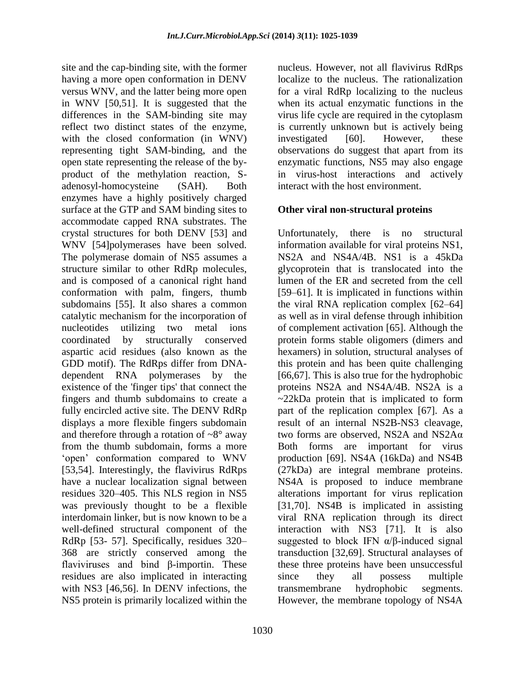site and the cap-binding site, with the former having a more open conformation in DENV versus WNV, and the latter being more open in WNV [50,51]. It is suggested that the differences in the SAM-binding site may reflect two distinct states of the enzyme, with the closed conformation (in WNV) representing tight SAM-binding, and the open state representing the release of the byproduct of the methylation reaction, Sadenosyl-homocysteine (SAH). Both enzymes have a highly positively charged surface at the GTP and SAM binding sites to accommodate capped RNA substrates. The crystal structures for both DENV [53] and WNV [54]polymerases have been solved. The polymerase domain of NS5 assumes a structure similar to other RdRp molecules, and is composed of a canonical right hand conformation with palm, fingers, thumb subdomains [55]. It also shares a common catalytic mechanism for the incorporation of nucleotides utilizing two metal ions coordinated by structurally conserved aspartic acid residues (also known as the GDD motif). The RdRps differ from DNAdependent RNA polymerases by the existence of the 'finger tips' that connect the fingers and thumb subdomains to create a fully encircled active site. The DENV RdRp displays a more flexible fingers subdomain and therefore through a rotation of  $\sim 8^\circ$  away from the thumb subdomain, forms a more "open" conformation compared to WNV [53,54]. Interestingly, the flavivirus RdRps have a nuclear localization signal between residues 320–405. This NLS region in NS5 was previously thought to be a flexible interdomain linker, but is now known to be a well-defined structural component of the RdRp [53- 57]. Specifically, residues 320– 368 are strictly conserved among the flaviviruses and bind β-importin. These residues are also implicated in interacting with NS3 [46,56]. In DENV infections, the NS5 protein is primarily localized within the

nucleus. However, not all flavivirus RdRps localize to the nucleus. The rationalization for a viral RdRp localizing to the nucleus when its actual enzymatic functions in the virus life cycle are required in the cytoplasm is currently unknown but is actively being investigated [60]. However, these observations do suggest that apart from its enzymatic functions, NS5 may also engage in virus-host interactions and actively interact with the host environment.

## **Other viral non-structural proteins**

Unfortunately, there is no structural information available for viral proteins NS1, NS2A and NS4A/4B. NS1 is a 45kDa glycoprotein that is translocated into the lumen of the ER and secreted from the cell [59–61]. It is implicated in functions within the viral RNA replication complex [62–64] as well as in viral defense through inhibition of complement activation [65]. Although the protein forms stable oligomers (dimers and hexamers) in solution, structural analyses of this protein and has been quite challenging [66,67]. This is also true for the hydrophobic proteins NS2A and NS4A/4B. NS2A is a ~22kDa protein that is implicated to form part of the replication complex [67]. As a result of an internal NS2B-NS3 cleavage, two forms are observed, NS2A and NS2Aα Both forms are important for virus production [69]. NS4A (16kDa) and NS4B (27kDa) are integral membrane proteins. NS4A is proposed to induce membrane alterations important for virus replication [31,70]. NS4B is implicated in assisting viral RNA replication through its direct interaction with NS3 [71]. It is also suggested to block IFN  $\alpha/\beta$ -induced signal transduction [32,69]. Structural analayses of these three proteins have been unsuccessful since they all possess multiple transmembrane hydrophobic segments. However, the membrane topology of NS4A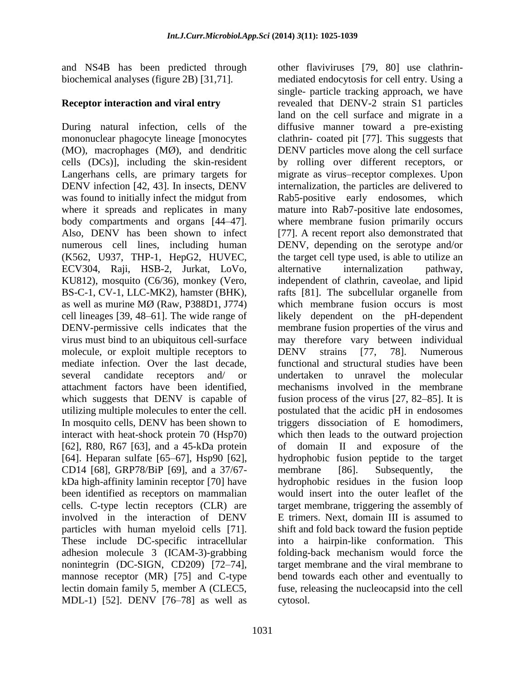and NS4B has been predicted through biochemical analyses (figure 2B) [31,71].

## **Receptor interaction and viral entry**

During natural infection, cells of the mononuclear phagocyte lineage [monocytes (MO), macrophages (MØ), and dendritic cells (DCs)], including the skin-resident Langerhans cells, are primary targets for DENV infection [42, 43]. In insects, DENV was found to initially infect the midgut from where it spreads and replicates in many body compartments and organs [44–47]. Also, DENV has been shown to infect numerous cell lines, including human (K562, U937, THP-1, HepG2, HUVEC, ECV304, Raji, HSB-2, Jurkat, LoVo, KU812), mosquito (C6/36), monkey (Vero, BS-C-1, CV-1, LLC-MK2), hamster (BHK), as well as murine MØ (Raw, P388D1, J774) cell lineages [39, 48–61]. The wide range of DENV-permissive cells indicates that the virus must bind to an ubiquitous cell-surface molecule, or exploit multiple receptors to mediate infection. Over the last decade, several candidate receptors and/ or attachment factors have been identified, which suggests that DENV is capable of utilizing multiple molecules to enter the cell. In mosquito cells, DENV has been shown to interact with heat-shock protein 70 (Hsp70) [62], R80, R67 [63], and a 45-kDa protein [64]. Heparan sulfate [65–67], Hsp90 [62], CD14 [68], GRP78/BiP [69], and a 37/67 kDa high-affinity laminin receptor [70] have been identified as receptors on mammalian cells. C-type lectin receptors (CLR) are involved in the interaction of DENV particles with human myeloid cells [71]. These include DC-specific intracellular adhesion molecule 3 (ICAM-3)-grabbing nonintegrin (DC-SIGN, CD209) [72–74], mannose receptor (MR) [75] and C-type lectin domain family 5, member A (CLEC5, MDL-1) [52]. DENV [76–78] as well as

other flaviviruses [79, 80] use clathrinmediated endocytosis for cell entry. Using a single- particle tracking approach, we have revealed that DENV-2 strain S1 particles land on the cell surface and migrate in a diffusive manner toward a pre-existing clathrin- coated pit [77]. This suggests that DENV particles move along the cell surface by rolling over different receptors, or migrate as virus–receptor complexes. Upon internalization, the particles are delivered to Rab5-positive early endosomes, which mature into Rab7-positive late endosomes, where membrane fusion primarily occurs [77]. A recent report also demonstrated that DENV, depending on the serotype and/or the target cell type used, is able to utilize an alternative internalization pathway, independent of clathrin, caveolae, and lipid rafts [81]. The subcellular organelle from which membrane fusion occurs is most likely dependent on the pH-dependent membrane fusion properties of the virus and may therefore vary between individual DENV strains [77, 78]. Numerous functional and structural studies have been undertaken to unravel the molecular mechanisms involved in the membrane fusion process of the virus [27, 82–85]. It is postulated that the acidic pH in endosomes triggers dissociation of E homodimers, which then leads to the outward projection of domain II and exposure of the hydrophobic fusion peptide to the target membrane [86]. Subsequently, the hydrophobic residues in the fusion loop would insert into the outer leaflet of the target membrane, triggering the assembly of E trimers. Next, domain III is assumed to shift and fold back toward the fusion peptide into a hairpin-like conformation. This folding-back mechanism would force the target membrane and the viral membrane to bend towards each other and eventually to fuse, releasing the nucleocapsid into the cell cytosol.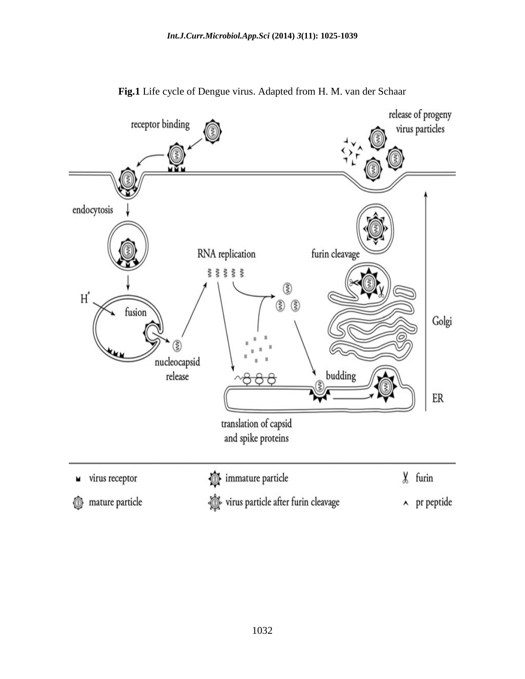

**Fig.1** Life cycle of Dengue virus. Adapted from H. M. van der Schaar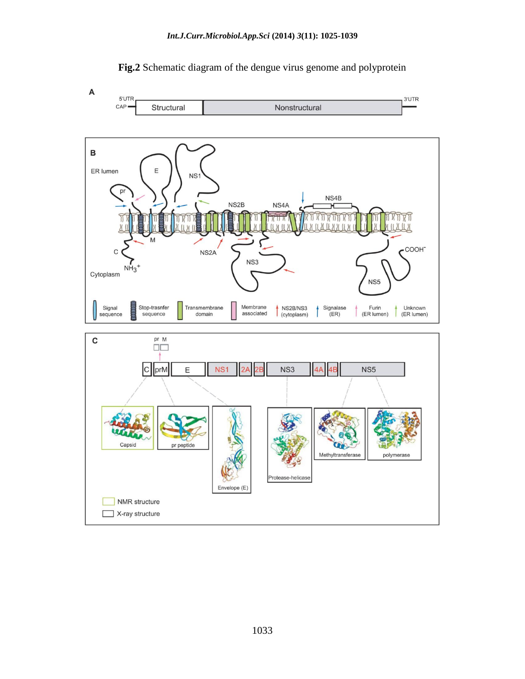

#### **Fig.2** Schematic diagram of the dengue virus genome and polyprotein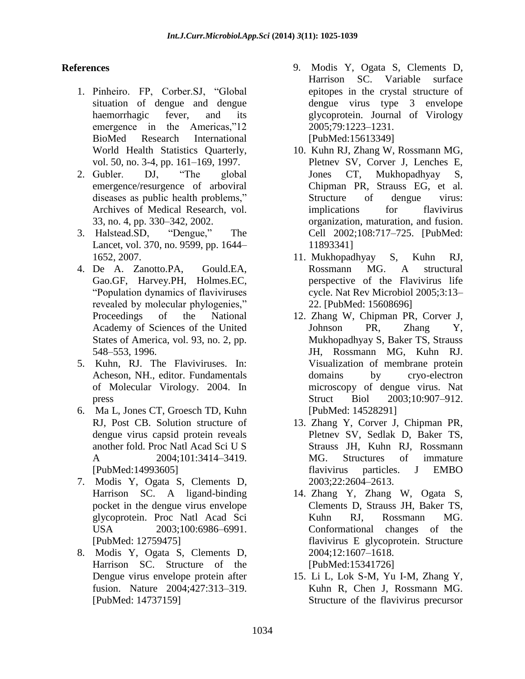## **References**

- 1. Pinheiro. FP, Corber.SJ, "Global situation of dengue and dengue haemorrhagic fever, and its emergence in the Americas,"12 BioMed Research International World Health Statistics Quarterly, vol. 50, no. 3-4, pp. 161–169, 1997.
- 2. Gubler. DJ, "The global emergence/resurgence of arboviral diseases as public health problems," Archives of Medical Research, vol. 33, no. 4, pp. 330–342, 2002.
- 3. Halstead.SD, "Dengue," The Lancet, vol. 370, no. 9599, pp. 1644– 1652, 2007.
- 4. De A. Zanotto.PA, Gould.EA, Gao.GF, Harvey.PH, Holmes.EC, "Population dynamics of flaviviruses revealed by molecular phylogenies," Proceedings of the National Academy of Sciences of the United States of America, vol. 93, no. 2, pp. 548–553, 1996.
- 5. Kuhn, RJ. The Flaviviruses. In: Acheson, NH., editor. Fundamentals of Molecular Virology. 2004. In press
- 6. Ma L, Jones CT, Groesch TD, Kuhn RJ, Post CB. Solution structure of dengue virus capsid protein reveals another fold. Proc Natl Acad Sci U S A 2004;101:3414-3419. [PubMed:14993605]
- 7. Modis Y, Ogata S, Clements D, Harrison SC. A ligand-binding pocket in the dengue virus envelope glycoprotein. Proc Natl Acad Sci USA  $2003:100:6986-6991$ . [PubMed: 12759475]
- 8. Modis Y, Ogata S, Clements D, Harrison SC. Structure of the Dengue virus envelope protein after fusion. Nature 2004;427:313–319. [PubMed: 14737159]
- 9. Modis Y, Ogata S, Clements D, Harrison SC. Variable surface epitopes in the crystal structure of dengue virus type 3 envelope glycoprotein. Journal of Virology 2005;79:1223–1231. [PubMed:15613349]
- 10. Kuhn RJ, Zhang W, Rossmann MG, Pletnev SV, Corver J, Lenches E, Jones CT, Mukhopadhyay S, Chipman PR, Strauss EG, et al. Structure of dengue virus: implications for flavivirus organization, maturation, and fusion. Cell 2002;108:717–725. [PubMed: 11893341]
- 11. Mukhopadhyay S, Kuhn RJ, Rossmann MG. A structural perspective of the Flavivirus life cycle. Nat Rev Microbiol 2005;3:13– 22. [PubMed: 15608696]
- 12. Zhang W, Chipman PR, Corver J, Johnson PR, Zhang Y, Mukhopadhyay S, Baker TS, Strauss JH, Rossmann MG, Kuhn RJ. Visualization of membrane protein domains by cryo-electron microscopy of dengue virus. Nat Struct Biol 2003;10:907–912. [PubMed: 14528291]
- 13. Zhang Y, Corver J, Chipman PR, Pletnev SV, Sedlak D, Baker TS, Strauss JH, Kuhn RJ, Rossmann MG. Structures of immature flavivirus particles. J EMBO 2003;22:2604–2613.
- 14. Zhang Y, Zhang W, Ogata S, Clements D, Strauss JH, Baker TS, Kuhn RJ, Rossmann MG. Conformational changes of the flavivirus E glycoprotein. Structure 2004;12:1607–1618. [PubMed:15341726]
- 15. Li L, Lok S-M, Yu I-M, Zhang Y, Kuhn R, Chen J, Rossmann MG. Structure of the flavivirus precursor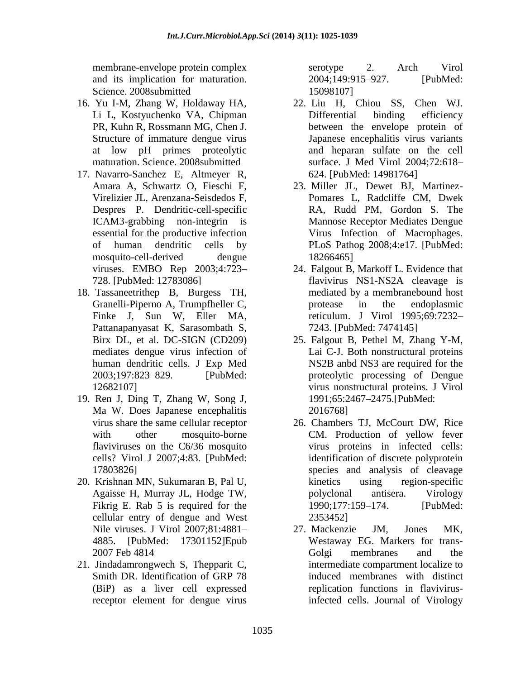membrane-envelope protein complex and its implication for maturation. Science. 2008submitted

- 16. Yu I-M, Zhang W, Holdaway HA, Li L, Kostyuchenko VA, Chipman PR, Kuhn R, Rossmann MG, Chen J. Structure of immature dengue virus at low pH primes proteolytic maturation. Science. 2008submitted
- 17. Navarro-Sanchez E, Altmeyer R, Amara A, Schwartz O, Fieschi F, Virelizier JL, Arenzana-Seisdedos F, Despres P. Dendritic-cell-specific ICAM3-grabbing non-integrin is essential for the productive infection of human dendritic cells by mosquito-cell-derived dengue viruses. EMBO Rep 2003;4:723– 728. [PubMed: 12783086]
- 18. Tassaneetrithep B, Burgess TH, Granelli-Piperno A, Trumpfheller C, Finke J, Sun W, Eller MA, Pattanapanyasat K, Sarasombath S, Birx DL, et al. DC-SIGN (CD209) mediates dengue virus infection of human dendritic cells. J Exp Med 2003;197:823–829. [PubMed: 12682107]
- 19. Ren J, Ding T, Zhang W, Song J, Ma W. Does Japanese encephalitis virus share the same cellular receptor with other mosquito-borne flaviviruses on the C6/36 mosquito cells? Virol J 2007;4:83. [PubMed: 17803826]
- 20. Krishnan MN, Sukumaran B, Pal U, Agaisse H, Murray JL, Hodge TW, Fikrig E. Rab 5 is required for the cellular entry of dengue and West Nile viruses. J Virol 2007;81:4881– 4885. [PubMed: 17301152]Epub 2007 Feb 4814
- 21. Jindadamrongwech S, Thepparit C, Smith DR. Identification of GRP 78 (BiP) as a liver cell expressed receptor element for dengue virus

serotype 2. Arch Virol 2004;149:915–927. [PubMed: 15098107]

- 22. Liu H, Chiou SS, Chen WJ. Differential binding efficiency between the envelope protein of Japanese encephalitis virus variants and heparan sulfate on the cell surface. J Med Virol 2004;72:618– 624. [PubMed: 14981764]
- 23. Miller JL, Dewet BJ, Martinez-Pomares L, Radcliffe CM, Dwek RA, Rudd PM, Gordon S. The Mannose Receptor Mediates Dengue Virus Infection of Macrophages. PLoS Pathog 2008;4:e17. [PubMed: 18266465]
- 24. Falgout B, Markoff L. Evidence that flavivirus NS1-NS2A cleavage is mediated by a membranebound host protease in the endoplasmic reticulum. J Virol 1995;69:7232– 7243. [PubMed: 7474145]
- 25. Falgout B, Pethel M, Zhang Y-M, Lai C-J. Both nonstructural proteins NS2B anbd NS3 are required for the proteolytic processing of Dengue virus nonstructural proteins. J Virol 1991;65:2467–2475.[PubMed: 2016768]
- 26. Chambers TJ, McCourt DW, Rice CM. Production of yellow fever virus proteins in infected cells: identification of discrete polyprotein species and analysis of cleavage kinetics using region-specific polyclonal antisera. Virology 1990;177:159–174. [PubMed: 2353452]
- 27. Mackenzie JM, Jones MK, Westaway EG. Markers for trans-Golgi membranes and the intermediate compartment localize to induced membranes with distinct replication functions in flavivirusinfected cells. Journal of Virology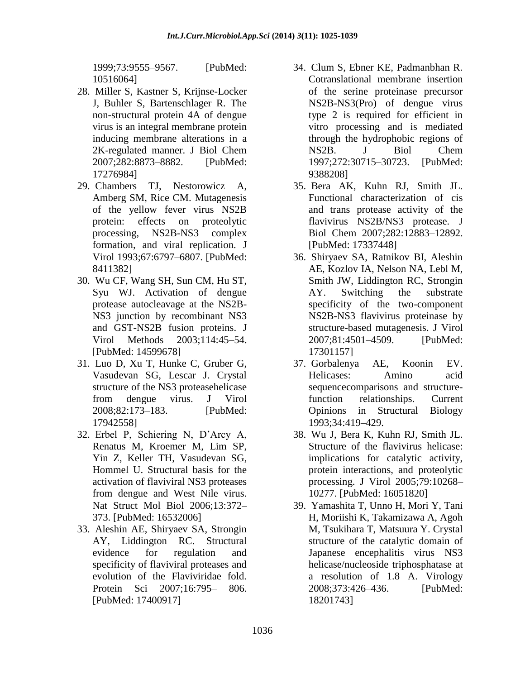1999;73:9555–9567. [PubMed: 10516064]

- 28. Miller S, Kastner S, Krijnse-Locker J, Buhler S, Bartenschlager R. The non-structural protein 4A of dengue virus is an integral membrane protein inducing membrane alterations in a 2K-regulated manner. J Biol Chem 2007;282:8873–8882. [PubMed: 17276984]
- 29. Chambers TJ, Nestorowicz A, Amberg SM, Rice CM. Mutagenesis of the yellow fever virus NS2B protein: effects on proteolytic processing, NS2B-NS3 complex formation, and viral replication. J Virol 1993;67:6797–6807. [PubMed: 8411382]
- 30. Wu CF, Wang SH, Sun CM, Hu ST, Syu WJ. Activation of dengue protease autocleavage at the NS2B-NS3 junction by recombinant NS3 and GST-NS2B fusion proteins. J Virol Methods 2003;114:45–54. [PubMed: 14599678]
- 31. Luo D, Xu T, Hunke C, Gruber G, Vasudevan SG, Lescar J. Crystal structure of the NS3 proteasehelicase from dengue virus. J Virol 2008;82:173–183. [PubMed: 17942558]
- 32. Erbel P, Schiering N, D"Arcy A, Renatus M, Kroemer M, Lim SP, Yin Z, Keller TH, Vasudevan SG, Hommel U. Structural basis for the activation of flaviviral NS3 proteases from dengue and West Nile virus. Nat Struct Mol Biol 2006;13:372– 373. [PubMed: 16532006]
- 33. Aleshin AE, Shiryaev SA, Strongin AY, Liddington RC. Structural evidence for regulation and specificity of flaviviral proteases and evolution of the Flaviviridae fold. Protein Sci 2007;16:795– 806. [PubMed: 17400917]
- 34. Clum S, Ebner KE, Padmanbhan R. Cotranslational membrane insertion of the serine proteinase precursor NS2B-NS3(Pro) of dengue virus type 2 is required for efficient in vitro processing and is mediated through the hydrophobic regions of NS2B. J Biol Chem 1997;272:30715–30723. [PubMed: 9388208]
- 35. Bera AK, Kuhn RJ, Smith JL. Functional characterization of cis and trans protease activity of the flavivirus NS2B/NS3 protease. J Biol Chem 2007;282:12883–12892. [PubMed: 17337448]
- 36. Shiryaev SA, Ratnikov BI, Aleshin AE, Kozlov IA, Nelson NA, Lebl M, Smith JW, Liddington RC, Strongin AY. Switching the substrate specificity of the two-component NS2B-NS3 flavivirus proteinase by structure-based mutagenesis. J Virol 2007;81:4501–4509. [PubMed: 17301157]
- 37. Gorbalenya AE, Koonin EV. Helicases: Amino acid sequencecomparisons and structurefunction relationships. Current Opinions in Structural Biology 1993;34:419–429.
- 38. Wu J, Bera K, Kuhn RJ, Smith JL. Structure of the flavivirus helicase: implications for catalytic activity, protein interactions, and proteolytic processing. J Virol 2005;79:10268– 10277. [PubMed: 16051820]
- 39. Yamashita T, Unno H, Mori Y, Tani H, Moriishi K, Takamizawa A, Agoh M, Tsukihara T, Matsuura Y. Crystal structure of the catalytic domain of Japanese encephalitis virus NS3 helicase/nucleoside triphosphatase at a resolution of 1.8 A. Virology 2008;373:426–436. [PubMed: 18201743]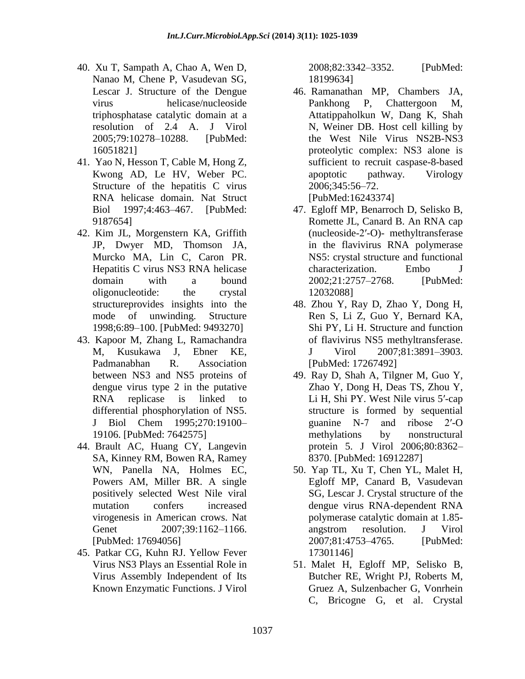- 40. Xu T, Sampath A, Chao A, Wen D, Nanao M, Chene P, Vasudevan SG, Lescar J. Structure of the Dengue virus helicase/nucleoside triphosphatase catalytic domain at a resolution of 2.4 A. J Virol 2005;79:10278–10288. [PubMed: 16051821]
- 41. Yao N, Hesson T, Cable M, Hong Z, Kwong AD, Le HV, Weber PC. Structure of the hepatitis C virus RNA helicase domain. Nat Struct Biol 1997;4:463–467. [PubMed: 9187654]
- 42. Kim JL, Morgenstern KA, Griffith JP, Dwyer MD, Thomson JA, Murcko MA, Lin C, Caron PR. Hepatitis C virus NS3 RNA helicase domain with a bound oligonucleotide: the crystal structureprovides insights into the mode of unwinding. Structure 1998;6:89–100. [PubMed: 9493270]
- 43. Kapoor M, Zhang L, Ramachandra M, Kusukawa J, Ebner KE, Padmanabhan R. Association between NS3 and NS5 proteins of dengue virus type 2 in the putative RNA replicase is linked to differential phosphorylation of NS5. J Biol Chem 1995;270:19100– 19106. [PubMed: 7642575]
- 44. Brault AC, Huang CY, Langevin SA, Kinney RM, Bowen RA, Ramey WN, Panella NA, Holmes EC, Powers AM, Miller BR. A single positively selected West Nile viral mutation confers increased virogenesis in American crows. Nat Genet 2007:39:1162-1166. [PubMed: 17694056]
- 45. Patkar CG, Kuhn RJ. Yellow Fever Virus NS3 Plays an Essential Role in Virus Assembly Independent of Its Known Enzymatic Functions. J Virol

2008;82:3342–3352. [PubMed: 18199634]

- 46. Ramanathan MP, Chambers JA, Pankhong P, Chattergoon M, Attatippaholkun W, Dang K, Shah N, Weiner DB. Host cell killing by the West Nile Virus NS2B-NS3 proteolytic complex: NS3 alone is sufficient to recruit caspase-8-based apoptotic pathway. Virology 2006;345:56–72. [PubMed:16243374]
- 47. Egloff MP, Benarroch D, Selisko B, Romette JL, Canard B. An RNA cap (nucleoside-2′-O)- methyltransferase in the flavivirus RNA polymerase NS5: crystal structure and functional characterization. Embo J 2002;21:2757–2768. [PubMed: 12032088]
- 48. Zhou Y, Ray D, Zhao Y, Dong H, Ren S, Li Z, Guo Y, Bernard KA, Shi PY, Li H. Structure and function of flavivirus NS5 methyltransferase. J Virol 2007;81:3891–3903. [PubMed: 17267492]
- 49. Ray D, Shah A, Tilgner M, Guo Y, Zhao Y, Dong H, Deas TS, Zhou Y, Li H, Shi PY. West Nile virus 5′-cap structure is formed by sequential guanine N-7 and ribose 2′-O methylations by nonstructural protein 5. J Virol 2006;80:8362– 8370. [PubMed: 16912287]
- 50. Yap TL, Xu T, Chen YL, Malet H, Egloff MP, Canard B, Vasudevan SG, Lescar J. Crystal structure of the dengue virus RNA-dependent RNA polymerase catalytic domain at 1.85 angstrom resolution. J Virol 2007;81:4753–4765. [PubMed: 17301146]
- 51. Malet H, Egloff MP, Selisko B, Butcher RE, Wright PJ, Roberts M, Gruez A, Sulzenbacher G, Vonrhein C, Bricogne G, et al. Crystal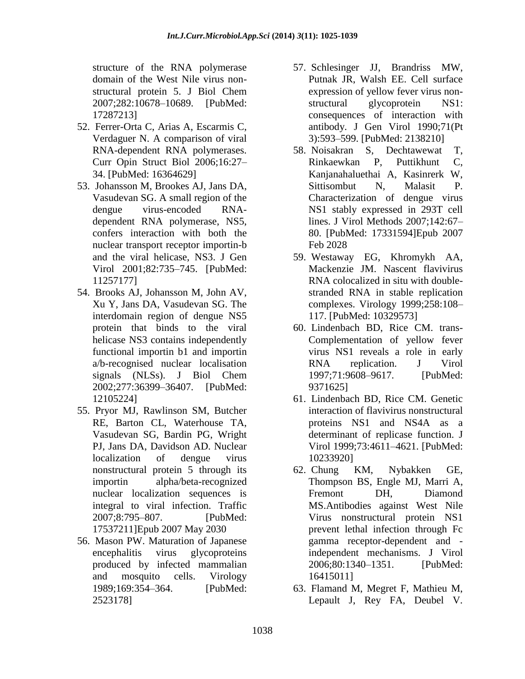structure of the RNA polymerase domain of the West Nile virus nonstructural protein 5. J Biol Chem 2007;282:10678–10689. [PubMed: 17287213]

- 52. Ferrer-Orta C, Arias A, Escarmis C, Verdaguer N. A comparison of viral RNA-dependent RNA polymerases. Curr Opin Struct Biol 2006;16:27– 34. [PubMed: 16364629]
- 53. Johansson M, Brookes AJ, Jans DA, Vasudevan SG. A small region of the dengue virus-encoded RNAdependent RNA polymerase, NS5, confers interaction with both the nuclear transport receptor importin-b and the viral helicase, NS3. J Gen Virol 2001;82:735–745. [PubMed: 11257177]
- 54. Brooks AJ, Johansson M, John AV, Xu Y, Jans DA, Vasudevan SG. The interdomain region of dengue NS5 protein that binds to the viral helicase NS3 contains independently functional importin b1 and importin a/b-recognised nuclear localisation signals (NLSs). J Biol Chem 2002;277:36399–36407. [PubMed: 12105224]
- 55. Pryor MJ, Rawlinson SM, Butcher RE, Barton CL, Waterhouse TA, Vasudevan SG, Bardin PG, Wright PJ, Jans DA, Davidson AD. Nuclear localization of dengue virus nonstructural protein 5 through its importin alpha/beta-recognized nuclear localization sequences is integral to viral infection. Traffic 2007;8:795–807. [PubMed: 17537211]Epub 2007 May 2030
- 56. Mason PW. Maturation of Japanese encephalitis virus glycoproteins produced by infected mammalian and mosquito cells. Virology 1989;169:354–364. [PubMed: 2523178]
- 57. Schlesinger JJ, Brandriss MW, Putnak JR, Walsh EE. Cell surface expression of yellow fever virus nonstructural glycoprotein NS1: consequences of interaction with antibody. J Gen Virol 1990;71(Pt 3):593–599. [PubMed: 2138210]
- 58. Noisakran S, Dechtawewat T, Rinkaewkan P, Puttikhunt C, Kanjanahaluethai A, Kasinrerk W, Sittisombut N, Malasit P. Characterization of dengue virus NS1 stably expressed in 293T cell lines. J Virol Methods 2007;142:67– 80. [PubMed: 17331594]Epub 2007 Feb 2028
- 59. Westaway EG, Khromykh AA, Mackenzie JM. Nascent flavivirus RNA colocalized in situ with doublestranded RNA in stable replication complexes. Virology 1999;258:108– 117. [PubMed: 10329573]
- 60. Lindenbach BD, Rice CM. trans-Complementation of yellow fever virus NS1 reveals a role in early RNA replication. J Virol 1997;71:9608–9617. [PubMed: 9371625]
- 61. Lindenbach BD, Rice CM. Genetic interaction of flavivirus nonstructural proteins NS1 and NS4A as a determinant of replicase function. J Virol 1999;73:4611–4621. [PubMed: 10233920]
- 62. Chung KM, Nybakken GE, Thompson BS, Engle MJ, Marri A, Fremont DH, Diamond MS.Antibodies against West Nile Virus nonstructural protein NS1 prevent lethal infection through Fc gamma receptor-dependent and independent mechanisms. J Virol 2006;80:1340–1351. [PubMed: 16415011]
- 63. Flamand M, Megret F, Mathieu M, Lepault J, Rey FA, Deubel V.